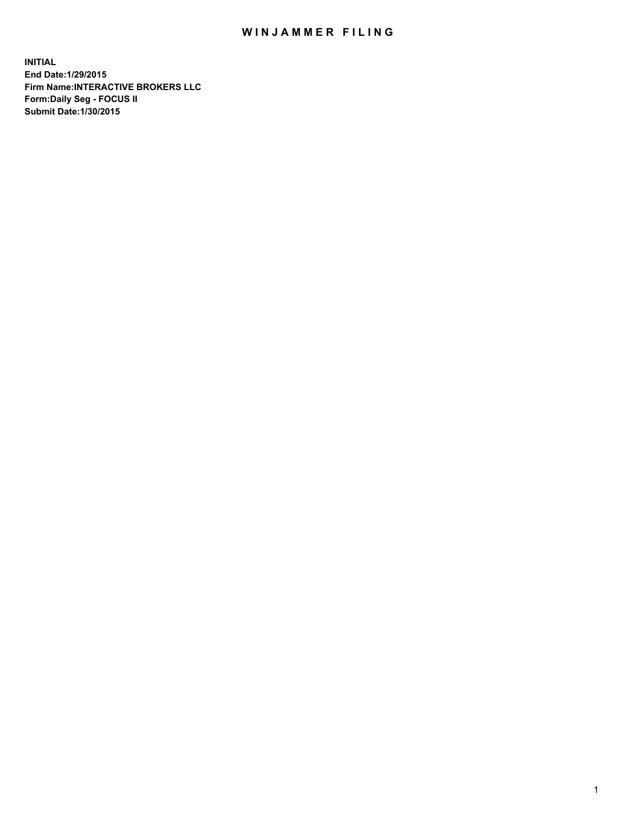## WIN JAMMER FILING

**INITIAL End Date:1/29/2015 Firm Name:INTERACTIVE BROKERS LLC Form:Daily Seg - FOCUS II Submit Date:1/30/2015**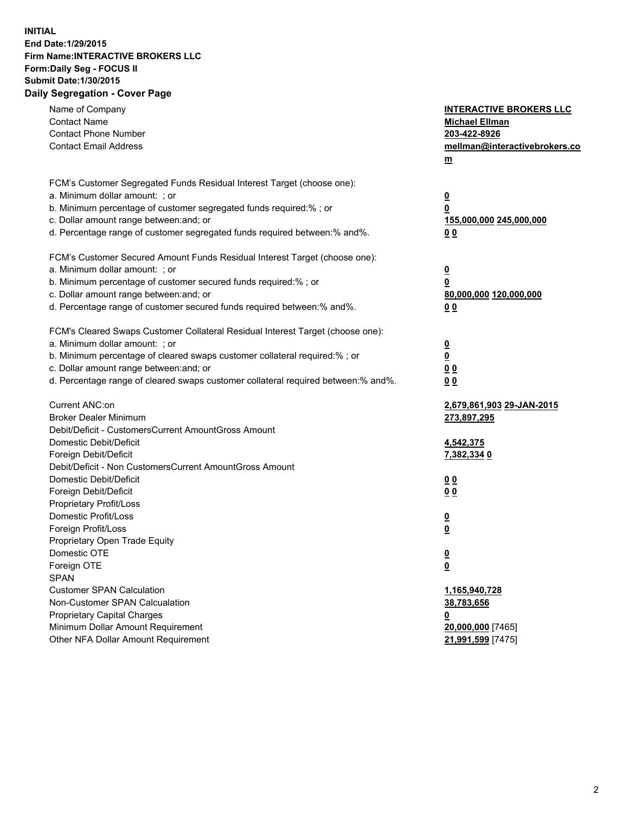## **INITIAL End Date:1/29/2015 Firm Name:INTERACTIVE BROKERS LLC Form:Daily Seg - FOCUS II Submit Date:1/30/2015 Daily Segregation - Cover Page**

| Name of Company<br><b>Contact Name</b><br><b>Contact Phone Number</b><br><b>Contact Email Address</b>                                                                                                                                                                                                                          | <b>INTERACTIVE BROKERS LLC</b><br><b>Michael Ellman</b><br>203-422-8926<br>mellman@interactivebrokers.co<br>$m$ |
|--------------------------------------------------------------------------------------------------------------------------------------------------------------------------------------------------------------------------------------------------------------------------------------------------------------------------------|-----------------------------------------------------------------------------------------------------------------|
| FCM's Customer Segregated Funds Residual Interest Target (choose one):<br>a. Minimum dollar amount: ; or<br>b. Minimum percentage of customer segregated funds required:% ; or<br>c. Dollar amount range between: and; or<br>d. Percentage range of customer segregated funds required between:% and%.                         | $\overline{\mathbf{0}}$<br>0<br>155,000,000 245,000,000<br>0 <sub>0</sub>                                       |
| FCM's Customer Secured Amount Funds Residual Interest Target (choose one):<br>a. Minimum dollar amount: ; or<br>b. Minimum percentage of customer secured funds required:% ; or<br>c. Dollar amount range between: and; or<br>d. Percentage range of customer secured funds required between:% and%.                           | $\overline{\mathbf{0}}$<br>0<br>80,000,000 120,000,000<br>0 <sub>0</sub>                                        |
| FCM's Cleared Swaps Customer Collateral Residual Interest Target (choose one):<br>a. Minimum dollar amount: ; or<br>b. Minimum percentage of cleared swaps customer collateral required:% ; or<br>c. Dollar amount range between: and; or<br>d. Percentage range of cleared swaps customer collateral required between:% and%. | $\overline{\mathbf{0}}$<br>$\underline{\mathbf{0}}$<br>0 <sub>0</sub><br>0 <sub>0</sub>                         |
| Current ANC:on<br><b>Broker Dealer Minimum</b><br>Debit/Deficit - CustomersCurrent AmountGross Amount<br>Domestic Debit/Deficit<br>Foreign Debit/Deficit                                                                                                                                                                       | 2,679,861,903 29-JAN-2015<br>273,897,295<br>4,542,375<br>7,382,334 0                                            |
| Debit/Deficit - Non CustomersCurrent AmountGross Amount<br>Domestic Debit/Deficit<br>Foreign Debit/Deficit<br>Proprietary Profit/Loss<br>Domestic Profit/Loss<br>Foreign Profit/Loss                                                                                                                                           | 0 <sub>0</sub><br>0 <sub>0</sub><br>$\overline{\mathbf{0}}$<br>$\overline{\mathbf{0}}$                          |
| Proprietary Open Trade Equity<br>Domestic OTE<br>Foreign OTE<br><b>SPAN</b><br><b>Customer SPAN Calculation</b>                                                                                                                                                                                                                | $\underline{\mathbf{0}}$<br><u>0</u><br>1,165,940,728                                                           |
| Non-Customer SPAN Calcualation<br><b>Proprietary Capital Charges</b><br>Minimum Dollar Amount Requirement<br>Other NFA Dollar Amount Requirement                                                                                                                                                                               | 38,783,656<br><u>0</u><br>20,000,000 [7465]<br>21,991,599 [7475]                                                |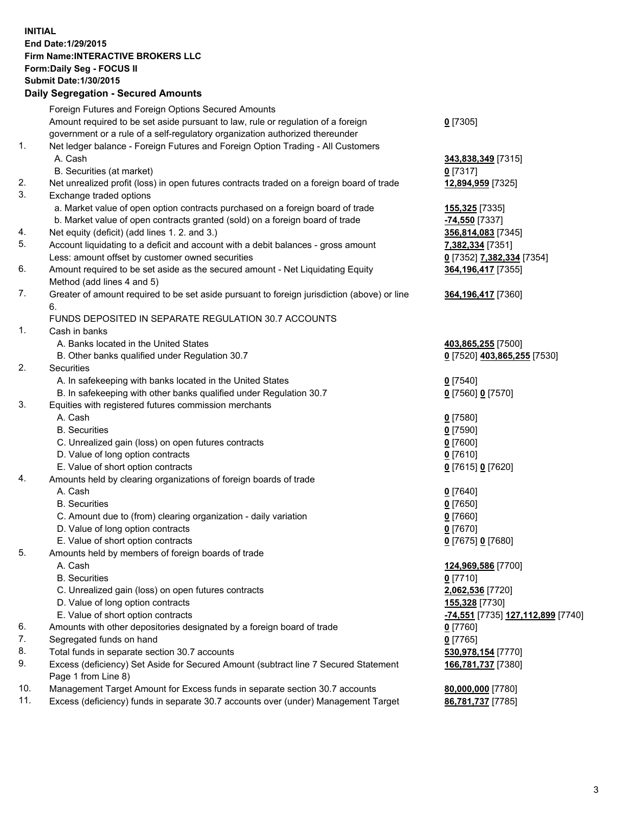## **INITIAL End Date:1/29/2015 Firm Name:INTERACTIVE BROKERS LLC Form:Daily Seg - FOCUS II Submit Date:1/30/2015 Daily Segregation - Secured Amounts**

|     | Dany Ocgregation - Oceanea Annoanta                                                         |                                   |
|-----|---------------------------------------------------------------------------------------------|-----------------------------------|
|     | Foreign Futures and Foreign Options Secured Amounts                                         |                                   |
|     | Amount required to be set aside pursuant to law, rule or regulation of a foreign            | $0$ [7305]                        |
|     | government or a rule of a self-regulatory organization authorized thereunder                |                                   |
| 1.  | Net ledger balance - Foreign Futures and Foreign Option Trading - All Customers             |                                   |
|     | A. Cash                                                                                     | 343,838,349 [7315]                |
|     | B. Securities (at market)                                                                   | $0$ [7317]                        |
| 2.  | Net unrealized profit (loss) in open futures contracts traded on a foreign board of trade   | 12,894,959 [7325]                 |
| 3.  | Exchange traded options                                                                     |                                   |
|     | a. Market value of open option contracts purchased on a foreign board of trade              | <b>155,325</b> [7335]             |
|     | b. Market value of open contracts granted (sold) on a foreign board of trade                | <u>-74,550</u> [7337]             |
| 4.  | Net equity (deficit) (add lines 1.2. and 3.)                                                | 356,814,083 [7345]                |
| 5.  | Account liquidating to a deficit and account with a debit balances - gross amount           | <mark>7,382,334</mark> [7351]     |
|     | Less: amount offset by customer owned securities                                            | 0 [7352] 7,382,334 [7354]         |
| 6.  | Amount required to be set aside as the secured amount - Net Liquidating Equity              | 364,196,417 [7355]                |
|     | Method (add lines 4 and 5)                                                                  |                                   |
| 7.  | Greater of amount required to be set aside pursuant to foreign jurisdiction (above) or line | 364, 196, 417 [7360]              |
|     | 6.                                                                                          |                                   |
|     | FUNDS DEPOSITED IN SEPARATE REGULATION 30.7 ACCOUNTS                                        |                                   |
| 1.  | Cash in banks                                                                               |                                   |
|     | A. Banks located in the United States                                                       | 403,865,255 [7500]                |
|     | B. Other banks qualified under Regulation 30.7                                              | 0 [7520] 403,865,255 [7530]       |
| 2.  | Securities                                                                                  |                                   |
|     | A. In safekeeping with banks located in the United States                                   | $0$ [7540]                        |
|     | B. In safekeeping with other banks qualified under Regulation 30.7                          | 0 [7560] 0 [7570]                 |
| 3.  | Equities with registered futures commission merchants                                       |                                   |
|     | A. Cash                                                                                     | $0$ [7580]                        |
|     | <b>B.</b> Securities                                                                        | $0$ [7590]                        |
|     | C. Unrealized gain (loss) on open futures contracts                                         | $0$ [7600]                        |
|     | D. Value of long option contracts                                                           | $0$ [7610]                        |
|     | E. Value of short option contracts                                                          | 0 [7615] 0 [7620]                 |
| 4.  | Amounts held by clearing organizations of foreign boards of trade                           |                                   |
|     | A. Cash                                                                                     | $0$ [7640]                        |
|     | <b>B.</b> Securities                                                                        | $0$ [7650]                        |
|     | C. Amount due to (from) clearing organization - daily variation                             | $0$ [7660]                        |
|     | D. Value of long option contracts                                                           | $0$ [7670]                        |
|     | E. Value of short option contracts                                                          | 0 [7675] 0 [7680]                 |
| 5.  | Amounts held by members of foreign boards of trade                                          |                                   |
|     | A. Cash                                                                                     | 124,969,586 [7700]                |
|     | <b>B.</b> Securities                                                                        | $0$ [7710]                        |
|     | C. Unrealized gain (loss) on open futures contracts                                         | 2,062,536 [7720]                  |
|     | D. Value of long option contracts                                                           | 155,328 [7730]                    |
|     | E. Value of short option contracts                                                          | -74,551 [7735] 127,112,899 [7740] |
| 6.  | Amounts with other depositories designated by a foreign board of trade                      | $0$ [7760]                        |
| 7.  | Segregated funds on hand                                                                    | $0$ [7765]                        |
| 8.  | Total funds in separate section 30.7 accounts                                               | 530,978,154 [7770]                |
| 9.  | Excess (deficiency) Set Aside for Secured Amount (subtract line 7 Secured Statement         | 166,781,737 [7380]                |
|     | Page 1 from Line 8)                                                                         |                                   |
| 10. | Management Target Amount for Excess funds in separate section 30.7 accounts                 | 80,000,000 [7780]                 |
| 11. | Excess (deficiency) funds in separate 30.7 accounts over (under) Management Target          | 86,781,737 [7785]                 |
|     |                                                                                             |                                   |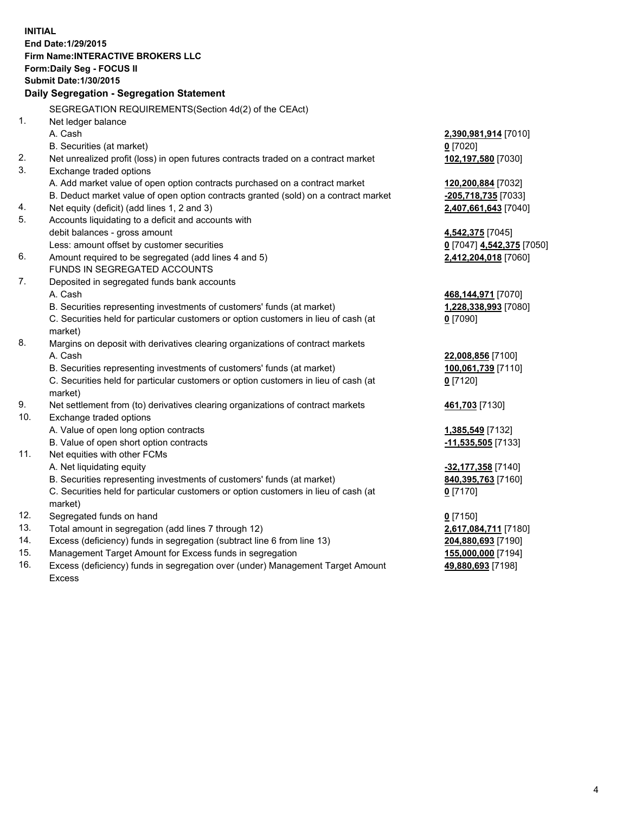**INITIAL End Date:1/29/2015 Firm Name:INTERACTIVE BROKERS LLC Form:Daily Seg - FOCUS II Submit Date:1/30/2015 Daily Segregation - Segregation Statement** SEGREGATION REQUIREMENTS(Section 4d(2) of the CEAct) 1. Net ledger balance A. Cash **2,390,981,914** [7010] B. Securities (at market) **0** [7020] 2. Net unrealized profit (loss) in open futures contracts traded on a contract market **102,197,580** [7030] 3. Exchange traded options A. Add market value of open option contracts purchased on a contract market **120,200,884** [7032] B. Deduct market value of open option contracts granted (sold) on a contract market **-205,718,735** [7033] 4. Net equity (deficit) (add lines 1, 2 and 3) **2,407,661,643** [7040] 5. Accounts liquidating to a deficit and accounts with debit balances - gross amount **4,542,375** [7045] Less: amount offset by customer securities **0** [7047] **4,542,375** [7050] 6. Amount required to be segregated (add lines 4 and 5) **2,412,204,018** [7060] FUNDS IN SEGREGATED ACCOUNTS 7. Deposited in segregated funds bank accounts A. Cash **468,144,971** [7070] B. Securities representing investments of customers' funds (at market) **1,228,338,993** [7080] C. Securities held for particular customers or option customers in lieu of cash (at market) **0** [7090] 8. Margins on deposit with derivatives clearing organizations of contract markets A. Cash **22,008,856** [7100] B. Securities representing investments of customers' funds (at market) **100,061,739** [7110] C. Securities held for particular customers or option customers in lieu of cash (at market) **0** [7120] 9. Net settlement from (to) derivatives clearing organizations of contract markets **461,703** [7130] 10. Exchange traded options A. Value of open long option contracts **1,385,549** [7132] B. Value of open short option contracts **-11,535,505** [7133] 11. Net equities with other FCMs A. Net liquidating equity **-32,177,358** [7140] B. Securities representing investments of customers' funds (at market) **840,395,763** [7160] C. Securities held for particular customers or option customers in lieu of cash (at market) **0** [7170] 12. Segregated funds on hand **0** [7150] 13. Total amount in segregation (add lines 7 through 12) **2,617,084,711** [7180] 14. Excess (deficiency) funds in segregation (subtract line 6 from line 13) **204,880,693** [7190] 15. Management Target Amount for Excess funds in segregation **155,000,000** [7194]

16. Excess (deficiency) funds in segregation over (under) Management Target Amount Excess

**49,880,693** [7198]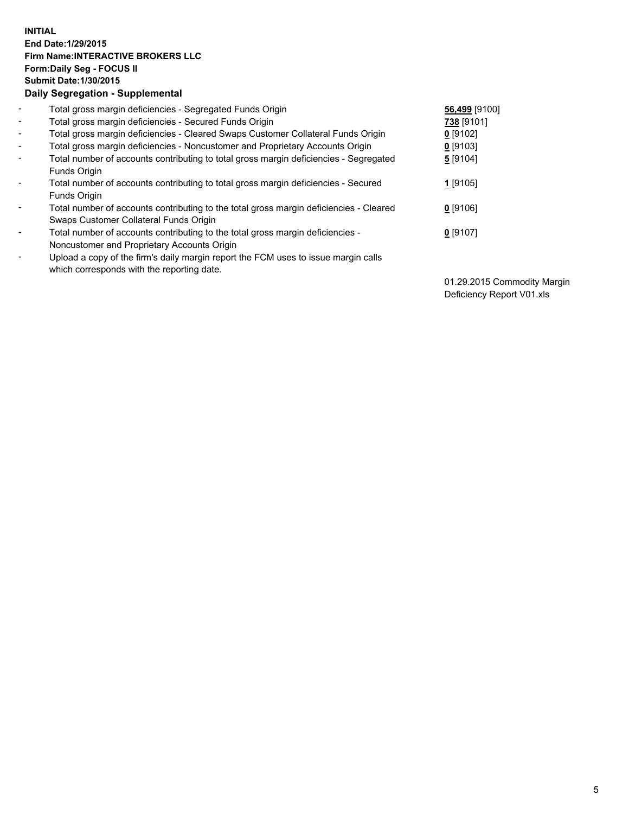## **INITIAL End Date:1/29/2015 Firm Name:INTERACTIVE BROKERS LLC Form:Daily Seg - FOCUS II Submit Date:1/30/2015 Daily Segregation - Supplemental**

| $\blacksquare$           | Total gross margin deficiencies - Segregated Funds Origin                              | 56,499 [9100] |
|--------------------------|----------------------------------------------------------------------------------------|---------------|
| $\sim$                   | Total gross margin deficiencies - Secured Funds Origin                                 | 738 [9101]    |
| $\blacksquare$           | Total gross margin deficiencies - Cleared Swaps Customer Collateral Funds Origin       | $0$ [9102]    |
| $\blacksquare$           | Total gross margin deficiencies - Noncustomer and Proprietary Accounts Origin          | $0$ [9103]    |
| $\blacksquare$           | Total number of accounts contributing to total gross margin deficiencies - Segregated  | 5 [9104]      |
|                          | Funds Origin                                                                           |               |
| $\blacksquare$           | Total number of accounts contributing to total gross margin deficiencies - Secured     | 1 [9105]      |
|                          | <b>Funds Origin</b>                                                                    |               |
| $\blacksquare$           | Total number of accounts contributing to the total gross margin deficiencies - Cleared | $0$ [9106]    |
|                          | Swaps Customer Collateral Funds Origin                                                 |               |
| -                        | Total number of accounts contributing to the total gross margin deficiencies -         | $0$ [9107]    |
|                          | Noncustomer and Proprietary Accounts Origin                                            |               |
| $\overline{\phantom{0}}$ | Upload a copy of the firm's daily margin report the FCM uses to issue margin calls     |               |
|                          | which corresponds with the reporting date.                                             |               |

01.29.2015 Commodity Margin Deficiency Report V01.xls